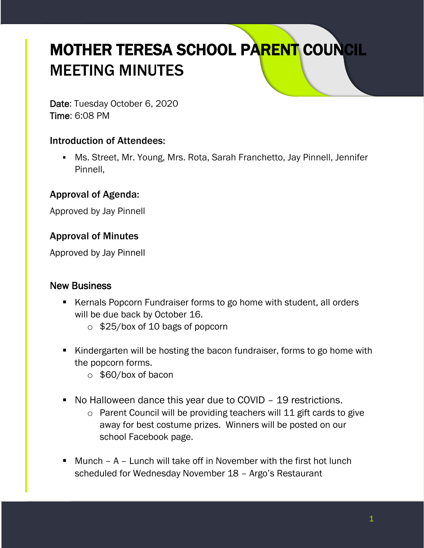# MOTHER TERESA SCHOOL PARENT COUNCIL MEETING MINUTES

Date: Tuesday October 6, 2020 Time: 6:08 PM

## Introduction of Attendees:

▪ Ms. Street, Mr. Young, Mrs. Rota, Sarah Franchetto, Jay Pinnell, Jennifer Pinnell,

## Approval of Agenda:

Approved by Jay Pinnell

## Approval of Minutes

Approved by Jay Pinnell

#### New Business

- Kernals Popcorn Fundraiser forms to go home with student, all orders will be due back by October 16.
	- o \$25/box of 10 bags of popcorn
- Kindergarten will be hosting the bacon fundraiser, forms to go home with the popcorn forms.
	- o \$60/box of bacon
- No Halloween dance this year due to COVID 19 restrictions.
	- o Parent Council will be providing teachers will 11 gift cards to give away for best costume prizes. Winners will be posted on our school Facebook page.
- **■** Munch  $-$  A  $-$  Lunch will take off in November with the first hot lunch scheduled for Wednesday November 18 – Argo's Restaurant